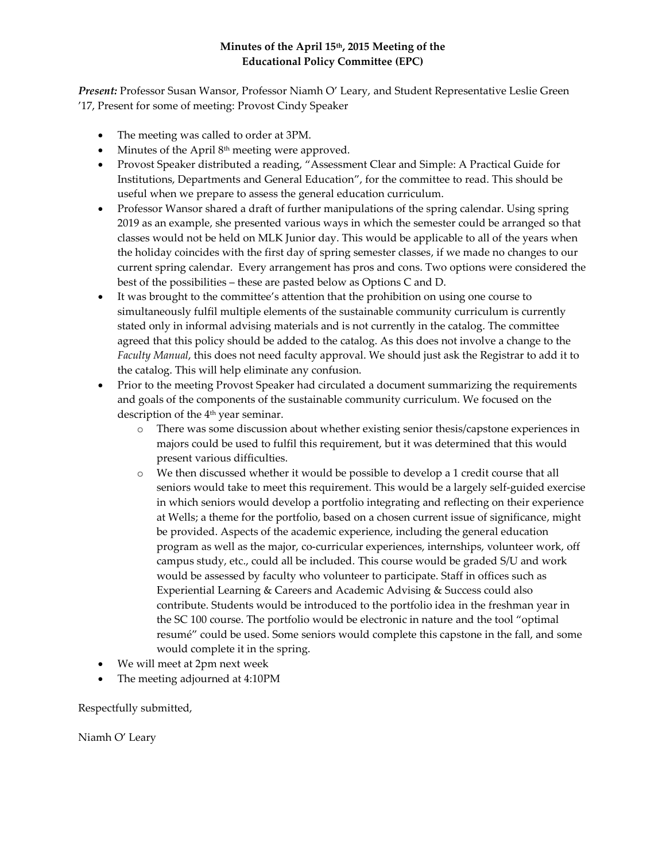## **Minutes of the April 15th, 2015 Meeting of the Educational Policy Committee (EPC)**

*Present:* Professor Susan Wansor, Professor Niamh O' Leary, and Student Representative Leslie Green '17, Present for some of meeting: Provost Cindy Speaker

- The meeting was called to order at 3PM.
- Minutes of the April 8<sup>th</sup> meeting were approved.
- Provost Speaker distributed a reading, "Assessment Clear and Simple: A Practical Guide for Institutions, Departments and General Education", for the committee to read. This should be useful when we prepare to assess the general education curriculum.
- Professor Wansor shared a draft of further manipulations of the spring calendar. Using spring 2019 as an example, she presented various ways in which the semester could be arranged so that classes would not be held on MLK Junior day. This would be applicable to all of the years when the holiday coincides with the first day of spring semester classes, if we made no changes to our current spring calendar. Every arrangement has pros and cons. Two options were considered the best of the possibilities – these are pasted below as Options C and D.
- It was brought to the committee's attention that the prohibition on using one course to simultaneously fulfil multiple elements of the sustainable community curriculum is currently stated only in informal advising materials and is not currently in the catalog. The committee agreed that this policy should be added to the catalog. As this does not involve a change to the *Faculty Manual*, this does not need faculty approval. We should just ask the Registrar to add it to the catalog. This will help eliminate any confusion.
- Prior to the meeting Provost Speaker had circulated a document summarizing the requirements and goals of the components of the sustainable community curriculum. We focused on the description of the 4<sup>th</sup> year seminar.
	- o There was some discussion about whether existing senior thesis/capstone experiences in majors could be used to fulfil this requirement, but it was determined that this would present various difficulties.
	- o We then discussed whether it would be possible to develop a 1 credit course that all seniors would take to meet this requirement. This would be a largely self-guided exercise in which seniors would develop a portfolio integrating and reflecting on their experience at Wells; a theme for the portfolio, based on a chosen current issue of significance, might be provided. Aspects of the academic experience, including the general education program as well as the major, co-curricular experiences, internships, volunteer work, off campus study, etc., could all be included. This course would be graded S/U and work would be assessed by faculty who volunteer to participate. Staff in offices such as Experiential Learning & Careers and Academic Advising & Success could also contribute. Students would be introduced to the portfolio idea in the freshman year in the SC 100 course. The portfolio would be electronic in nature and the tool "optimal resumé" could be used. Some seniors would complete this capstone in the fall, and some would complete it in the spring.
- We will meet at 2pm next week
- The meeting adjourned at 4:10PM

Respectfully submitted,

Niamh O' Leary